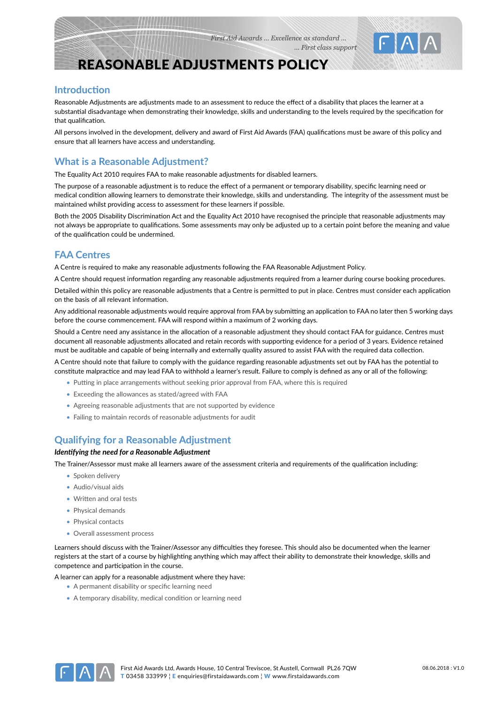

# REASONABLE ADJUSTMENTS POLICY

## **Introduction**

Reasonable Adjustments are adjustments made to an assessment to reduce the effect of a disability that places the learner at a substantial disadvantage when demonstrating their knowledge, skills and understanding to the levels required by the specification for that qualification.

All persons involved in the development, delivery and award of First Aid Awards (FAA) qualifications must be aware of this policy and ensure that all learners have access and understanding.

# **What is a Reasonable Adjustment?**

The Equality Act 2010 requires FAA to make reasonable adjustments for disabled learners.

The purpose of a reasonable adjustment is to reduce the effect of a permanent or temporary disability, specific learning need or medical condition allowing learners to demonstrate their knowledge, skills and understanding. The integrity of the assessment must be maintained whilst providing access to assessment for these learners if possible.

Both the 2005 Disability Discrimination Act and the Equality Act 2010 have recognised the principle that reasonable adjustments may not always be appropriate to qualifications. Some assessments may only be adjusted up to a certain point before the meaning and value of the qualification could be undermined.

# **FAA Centres**

A Centre is required to make any reasonable adjustments following the FAA Reasonable Adjustment Policy.

A Centre should request information regarding any reasonable adjustments required from a learner during course booking procedures.

Detailed within this policy are reasonable adjustments that a Centre is permitted to put in place. Centres must consider each application on the basis of all relevant information.

Any additional reasonable adjustments would require approval from FAA by submitting an application to FAA no later then 5 working days before the course commencement. FAA will respond within a maximum of 2 working days.

Should a Centre need any assistance in the allocation of a reasonable adjustment they should contact FAA for guidance. Centres must document all reasonable adjustments allocated and retain records with supporting evidence for a period of 3 years. Evidence retained must be auditable and capable of being internally and externally quality assured to assist FAA with the required data collection.

A Centre should note that failure to comply with the guidance regarding reasonable adjustments set out by FAA has the potential to constitute malpractice and may lead FAA to withhold a learner's result. Failure to comply is defined as any or all of the following:

- Putting in place arrangements without seeking prior approval from FAA, where this is required
- Exceeding the allowances as stated/agreed with FAA
- Agreeing reasonable adjustments that are not supported by evidence
- Failing to maintain records of reasonable adjustments for audit

## **Qualifying for a Reasonable Adjustment**

### *Identifying the need for a Reasonable Adjustment*

The Trainer/Assessor must make all learners aware of the assessment criteria and requirements of the qualification including:

- Spoken delivery
- Audio/visual aids
- Written and oral tests
- Physical demands
- Physical contacts
- Overall assessment process

Learners should discuss with the Trainer/Assessor any difficulties they foresee. This should also be documented when the learner registers at the start of a course by highlighting anything which may affect their ability to demonstrate their knowledge, skills and competence and participation in the course.

A learner can apply for a reasonable adjustment where they have:

- A permanent disability or specific learning need
- A temporary disability, medical condition or learning need